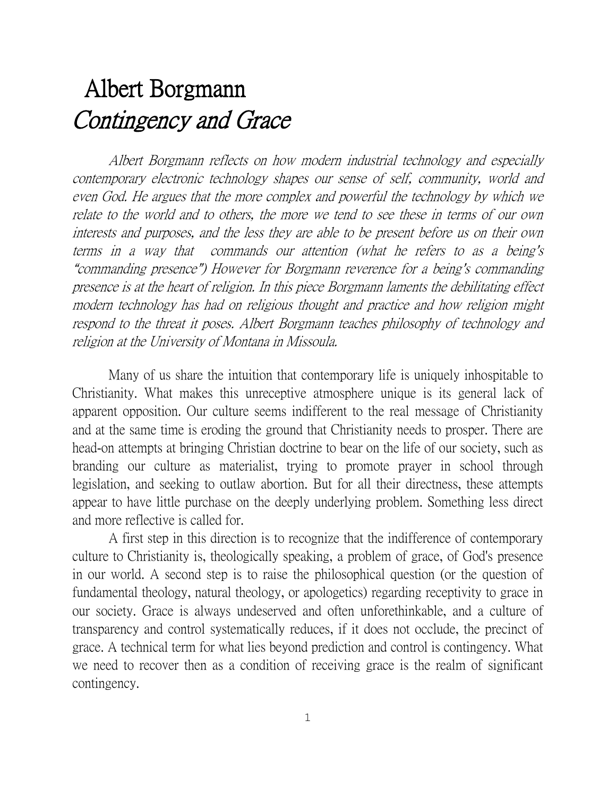## Albert Borgmann Contingency and Grace

Albert Borgmann reflects on how modern industrial technology and especially contemporary electronic technology shapes our sense of self, community, world and even God. He argues that the more complex and powerful the technology by which we relate to the world and to others, the more we tend to see these in terms of our own interests and purposes, and the less they are able to be present before us on their own terms in a way that commands our attention (what he refers to as a being's "commanding presence") However for Borgmann reverence for a being's commanding presence is at the heart of religion. In this piece Borgmann laments the debilitating effect modern technology has had on religious thought and practice and how religion might respond to the threat it poses. Albert Borgmann teaches philosophy of technology and religion at the University of Montana in Missoula.

Many of us share the intuition that contemporary life is uniquely inhospitable to Christianity. What makes this unreceptive atmosphere unique is its general lack of apparent opposition. Our culture seems indifferent to the real message of Christianity and at the same time is eroding the ground that Christianity needs to prosper. There are head-on attempts at bringing Christian doctrine to bear on the life of our society, such as branding our culture as materialist, trying to promote prayer in school through legislation, and seeking to outlaw abortion. But for all their directness, these attempts appear to have little purchase on the deeply underlying problem. Something less direct and more reflective is called for.

A first step in this direction is to recognize that the indifference of contemporary culture to Christianity is, theologically speaking, a problem of grace, of God's presence in our world. A second step is to raise the philosophical question (or the question of fundamental theology, natural theology, or apologetics) regarding receptivity to grace in our society. Grace is always undeserved and often unforethinkable, and a culture of transparency and control systematically reduces, if it does not occlude, the precinct of grace. A technical term for what lies beyond prediction and control is contingency. What we need to recover then as a condition of receiving grace is the realm of significant contingency.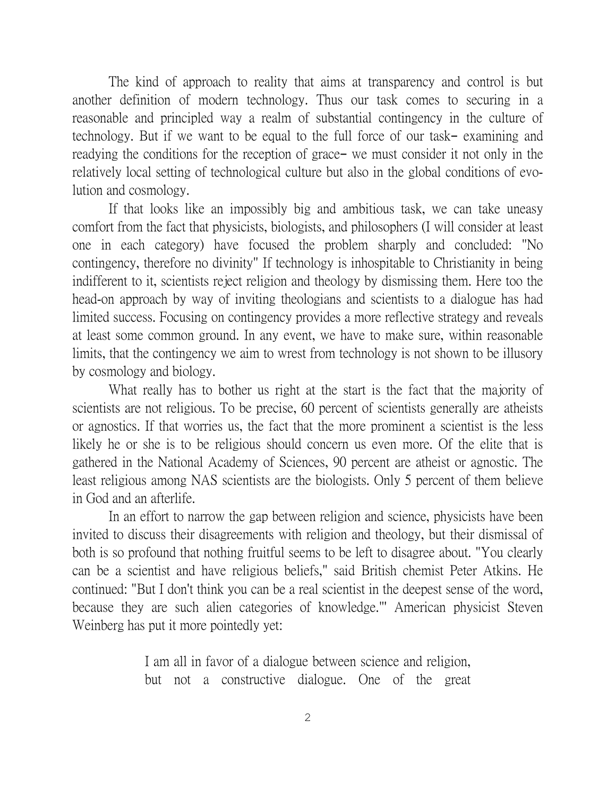The kind of approach to reality that aims at transparency and control is but another definition of modern technology. Thus our task comes to securing in a reasonable and principled way a realm of substantial contingency in the culture of technology. But if we want to be equal to the full force of our task-examining and readying the conditions for the reception of grace- we must consider it not only in the relatively local setting of technological culture but also in the global conditions of evolution and cosmology.

If that looks like an impossibly big and ambitious task, we can take uneasy comfort from the fact that physicists, biologists, and philosophers (I will consider at least one in each category) have focused the problem sharply and concluded: "No contingency, therefore no divinity" If technology is inhospitable to Christianity in being indifferent to it, scientists reject religion and theology by dismissing them. Here too the head-on approach by way of inviting theologians and scientists to a dialogue has had limited success. Focusing on contingency provides a more reflective strategy and reveals at least some common ground. In any event, we have to make sure, within reasonable limits, that the contingency we aim to wrest from technology is not shown to be illusory by cosmology and biology.

What really has to bother us right at the start is the fact that the majority of scientists are not religious. To be precise, 60 percent of scientists generally are atheists or agnostics. If that worries us, the fact that the more prominent a scientist is the less likely he or she is to be religious should concern us even more. Of the elite that is gathered in the National Academy of Sciences, 90 percent are atheist or agnostic. The least religious among NAS scientists are the biologists. Only 5 percent of them believe in God and an afterlife.

In an effort to narrow the gap between religion and science, physicists have been invited to discuss their disagreements with religion and theology, but their dismissal of both is so profound that nothing fruitful seems to be left to disagree about. "You clearly can be a scientist and have religious beliefs," said British chemist Peter Atkins. He continued: "But I don't think you can be a real scientist in the deepest sense of the word, because they are such alien categories of knowledge."' American physicist Steven Weinberg has put it more pointedly yet:

> I am all in favor of a dialogue between science and religion, but not a constructive dialogue. One of the great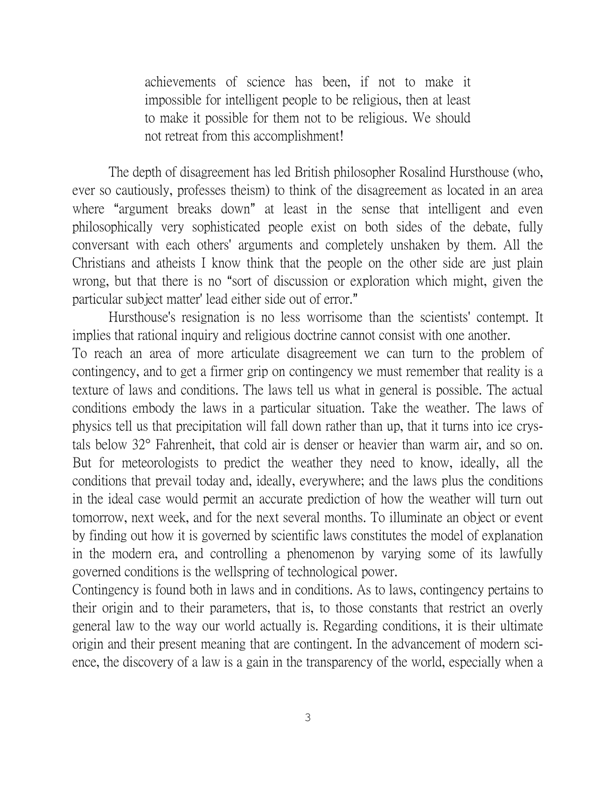achievements of science has been, if not to make it impossible for intelligent people to be religious, then at least to make it possible for them not to be religious. We should not retreat from this accomplishment!

The depth of disagreement has led British philosopher Rosalind Hursthouse (who, ever so cautiously, professes theism) to think of the disagreement as located in an area where "argument breaks down" at least in the sense that intelligent and even philosophically very sophisticated people exist on both sides of the debate, fully conversant with each others' arguments and completely unshaken by them. All the Christians and atheists I know think that the people on the other side are just plain wrong, but that there is no "sort of discussion or exploration which might, given the particular subject matter' lead either side out of error."

Hursthouse's resignation is no less worrisome than the scientists' contempt. It implies that rational inquiry and religious doctrine cannot consist with one another.

To reach an area of more articulate disagreement we can turn to the problem of contingency, and to get a firmer grip on contingency we must remember that reality is a texture of laws and conditions. The laws tell us what in general is possible. The actual conditions embody the laws in a particular situation. Take the weather. The laws of physics tell us that precipitation will fall down rather than up, that it turns into ice crystals below 32° Fahrenheit, that cold air is denser or heavier than warm air, and so on. But for meteorologists to predict the weather they need to know, ideally, all the conditions that prevail today and, ideally, everywhere; and the laws plus the conditions in the ideal case would permit an accurate prediction of how the weather will turn out tomorrow, next week, and for the next several months. To illuminate an object or event by finding out how it is governed by scientific laws constitutes the model of explanation in the modern era, and controlling a phenomenon by varying some of its lawfully governed conditions is the wellspring of technological power.

Contingency is found both in laws and in conditions. As to laws, contingency pertains to their origin and to their parameters, that is, to those constants that restrict an overly general law to the way our world actually is. Regarding conditions, it is their ultimate origin and their present meaning that are contingent. In the advancement of modern science, the discovery of a law is a gain in the transparency of the world, especially when a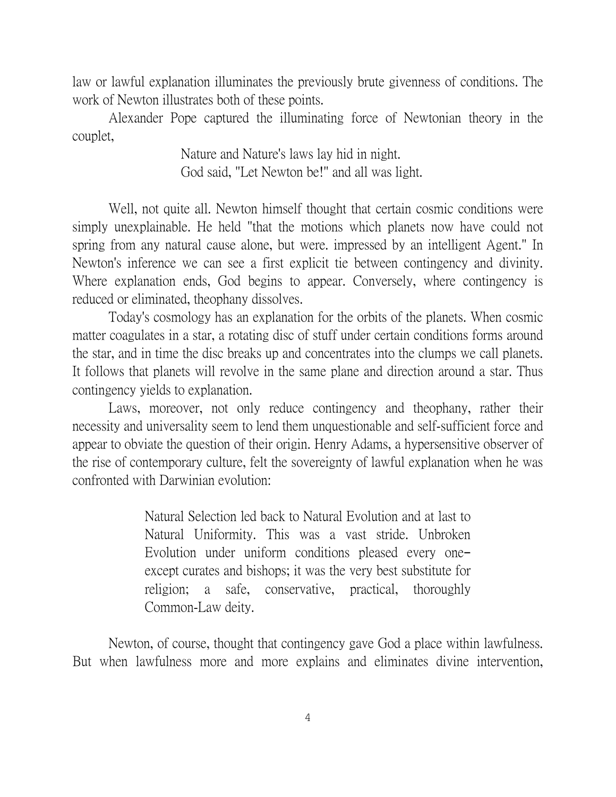law or lawful explanation illuminates the previously brute givenness of conditions. The work of Newton illustrates both of these points.

Alexander Pope captured the illuminating force of Newtonian theory in the couplet,

> Nature and Nature's laws lay hid in night. God said, "Let Newton be!" and all was light.

Well, not quite all. Newton himself thought that certain cosmic conditions were simply unexplainable. He held "that the motions which planets now have could not spring from any natural cause alone, but were. impressed by an intelligent Agent." In Newton's inference we can see a first explicit tie between contingency and divinity. Where explanation ends, God begins to appear. Conversely, where contingency is reduced or eliminated, theophany dissolves.

Today's cosmology has an explanation for the orbits of the planets. When cosmic matter coagulates in a star, a rotating disc of stuff under certain conditions forms around the star, and in time the disc breaks up and concentrates into the clumps we call planets. It follows that planets will revolve in the same plane and direction around a star. Thus contingency yields to explanation.

Laws, moreover, not only reduce contingency and theophany, rather their necessity and universality seem to lend them unquestionable and self-sufficient force and appear to obviate the question of their origin. Henry Adams, a hypersensitive observer of the rise of contemporary culture, felt the sovereignty of lawful explanation when he was confronted with Darwinian evolution:

> Natural Selection led back to Natural Evolution and at last to Natural Uniformity. This was a vast stride. Unbroken Evolution under uniform conditions pleased every oneexcept curates and bishops; it was the very best substitute for religion; a safe, conservative, practical, thoroughly Common-Law deity.

Newton, of course, thought that contingency gave God a place within lawfulness. But when lawfulness more and more explains and eliminates divine intervention,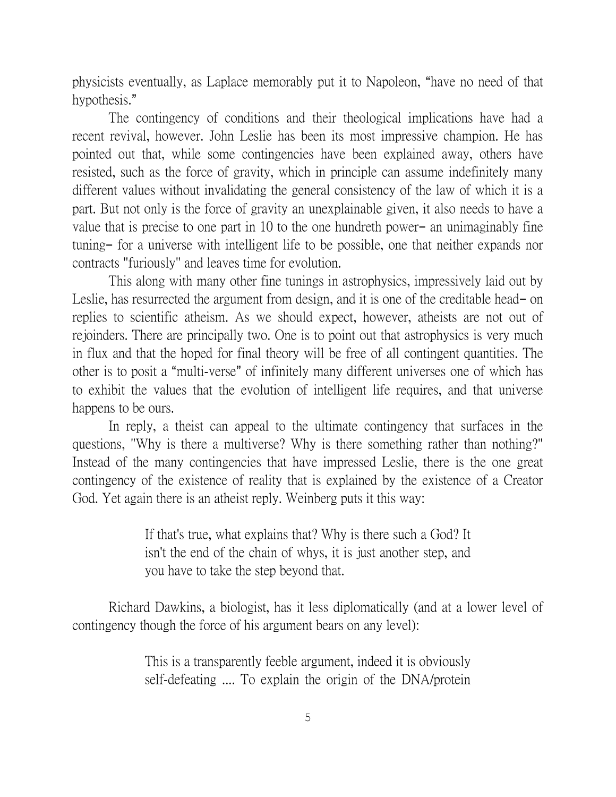physicists eventually, as Laplace memorably put it to Napoleon, "have no need of that hypothesis."

The contingency of conditions and their theological implications have had a recent revival, however. John Leslie has been its most impressive champion. He has pointed out that, while some contingencies have been explained away, others have resisted, such as the force of gravity, which in principle can assume indefinitely many different values without invalidating the general consistency of the law of which it is a part. But not only is the force of gravity an unexplainable given, it also needs to have a value that is precise to one part in 10 to the one hundreth power- an unimaginably fine tuning- for a universe with intelligent life to be possible, one that neither expands nor contracts "furiously" and leaves time for evolution.

This along with many other fine tunings in astrophysics, impressively laid out by Leslie, has resurrected the argument from design, and it is one of the creditable head- on replies to scientific atheism. As we should expect, however, atheists are not out of rejoinders. There are principally two. One is to point out that astrophysics is very much in flux and that the hoped for final theory will be free of all contingent quantities. The other is to posit a "multi-verse" of infinitely many different universes one of which has to exhibit the values that the evolution of intelligent life requires, and that universe happens to be ours.

In reply, a theist can appeal to the ultimate contingency that surfaces in the questions, "Why is there a multiverse? Why is there something rather than nothing?" Instead of the many contingencies that have impressed Leslie, there is the one great contingency of the existence of reality that is explained by the existence of a Creator God. Yet again there is an atheist reply. Weinberg puts it this way:

> If that's true, what explains that? Why is there such a God? It isn't the end of the chain of whys, it is just another step, and you have to take the step beyond that.

Richard Dawkins, a biologist, has it less diplomatically (and at a lower level of contingency though the force of his argument bears on any level):

> This is a transparently feeble argument, indeed it is obviously self-defeating .... To explain the origin of the DNA/protein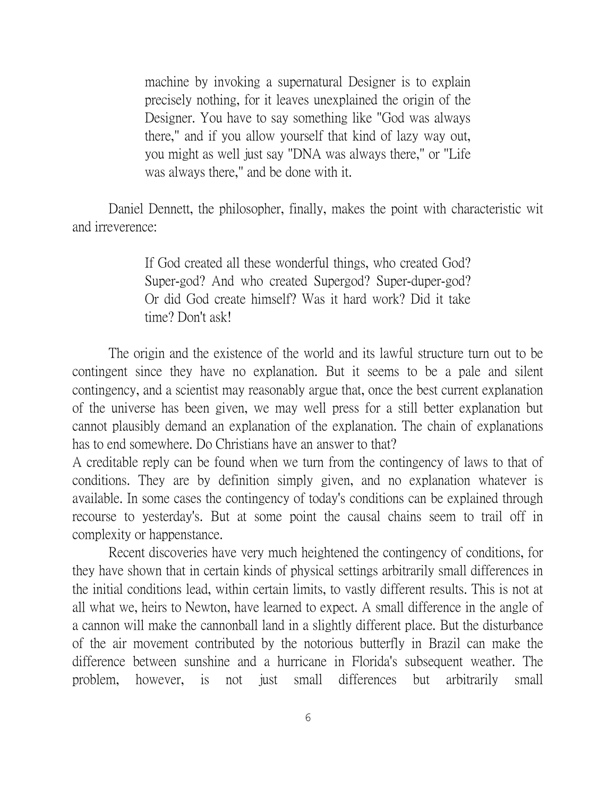machine by invoking a supernatural Designer is to explain precisely nothing, for it leaves unexplained the origin of the Designer. You have to say something like "God was always there," and if you allow yourself that kind of lazy way out, you might as well just say "DNA was always there," or "Life was always there," and be done with it.

Daniel Dennett, the philosopher, finally, makes the point with characteristic wit and irreverence:

> If God created all these wonderful things, who created God? Super-god? And who created Supergod? Super-duper-god? Or did God create himself? Was it hard work? Did it take time? Don't ask!

The origin and the existence of the world and its lawful structure turn out to be contingent since they have no explanation. But it seems to be a pale and silent contingency, and a scientist may reasonably argue that, once the best current explanation of the universe has been given, we may well press for a still better explanation but cannot plausibly demand an explanation of the explanation. The chain of explanations has to end somewhere. Do Christians have an answer to that?

A creditable reply can be found when we turn from the contingency of laws to that of conditions. They are by definition simply given, and no explanation whatever is available. In some cases the contingency of today's conditions can be explained through recourse to yesterday's. But at some point the causal chains seem to trail off in complexity or happenstance.

Recent discoveries have very much heightened the contingency of conditions, for they have shown that in certain kinds of physical settings arbitrarily small differences in the initial conditions lead, within certain limits, to vastly different results. This is not at all what we, heirs to Newton, have learned to expect. A small difference in the angle of a cannon will make the cannonball land in a slightly different place. But the disturbance of the air movement contributed by the notorious butterfly in Brazil can make the difference between sunshine and a hurricane in Florida's subsequent weather. The problem, however, is not just small differences but arbitrarily small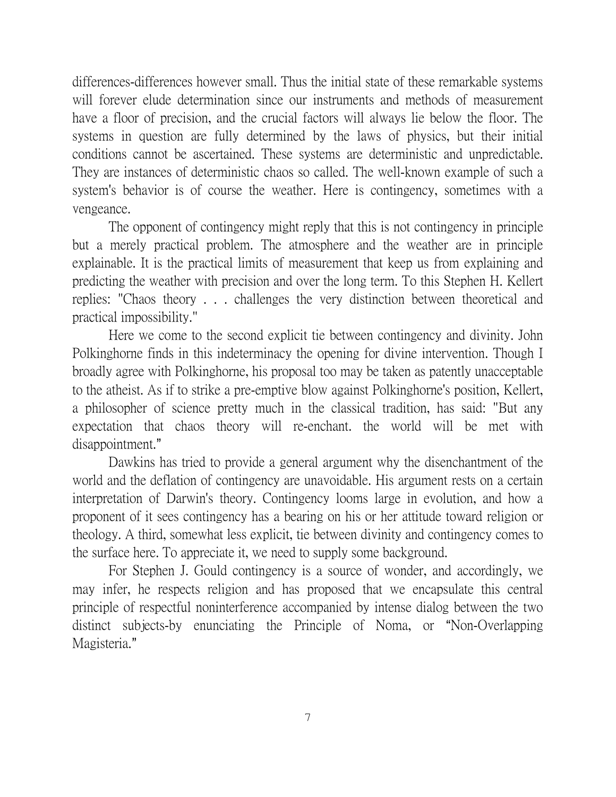differences-differences however small. Thus the initial state of these remarkable systems will forever elude determination since our instruments and methods of measurement have a floor of precision, and the crucial factors will always lie below the floor. The systems in question are fully determined by the laws of physics, but their initial conditions cannot be ascertained. These systems are deterministic and unpredictable. They are instances of deterministic chaos so called. The well-known example of such a system's behavior is of course the weather. Here is contingency, sometimes with a vengeance.

The opponent of contingency might reply that this is not contingency in principle but a merely practical problem. The atmosphere and the weather are in principle explainable. It is the practical limits of measurement that keep us from explaining and predicting the weather with precision and over the long term. To this Stephen H. Kellert replies: "Chaos theory . . . challenges the very distinction between theoretical and practical impossibility."

Here we come to the second explicit tie between contingency and divinity. John Polkinghorne finds in this indeterminacy the opening for divine intervention. Though I broadly agree with Polkinghorne, his proposal too may be taken as patently unacceptable to the atheist. As if to strike a pre-emptive blow against Polkinghorne's position, Kellert, a philosopher of science pretty much in the classical tradition, has said: "But any expectation that chaos theory will re-enchant. the world will be met with disappointment."

Dawkins has tried to provide a general argument why the disenchantment of the world and the deflation of contingency are unavoidable. His argument rests on a certain interpretation of Darwin's theory. Contingency looms large in evolution, and how a proponent of it sees contingency has a bearing on his or her attitude toward religion or theology. A third, somewhat less explicit, tie between divinity and contingency comes to the surface here. To appreciate it, we need to supply some background.

For Stephen J. Gould contingency is a source of wonder, and accordingly, we may infer, he respects religion and has proposed that we encapsulate this central principle of respectful noninterference accompanied by intense dialog between the two distinct subjects-by enunciating the Principle of Noma, or "Non-Overlapping Magisteria."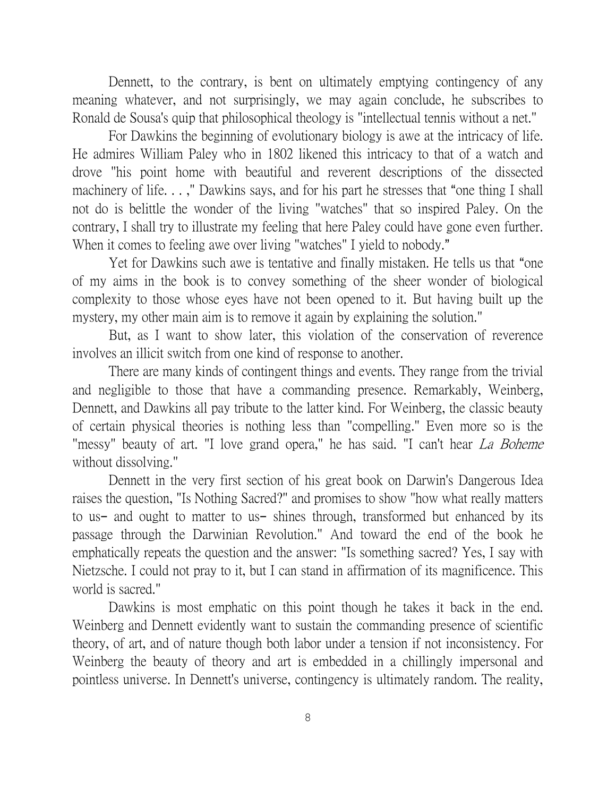Dennett, to the contrary, is bent on ultimately emptying contingency of any meaning whatever, and not surprisingly, we may again conclude, he subscribes to Ronald de Sousa's quip that philosophical theology is "intellectual tennis without a net."

For Dawkins the beginning of evolutionary biology is awe at the intricacy of life. He admires William Paley who in 1802 likened this intricacy to that of a watch and drove "his point home with beautiful and reverent descriptions of the dissected machinery of life.  $\dots$ ," Dawkins says, and for his part he stresses that "one thing I shall not do is belittle the wonder of the living "watches" that so inspired Paley. On the contrary, I shall try to illustrate my feeling that here Paley could have gone even further. When it comes to feeling awe over living "watches" I yield to nobody."

Yet for Dawkins such awe is tentative and finally mistaken. He tells us that "one of my aims in the book is to convey something of the sheer wonder of biological complexity to those whose eyes have not been opened to it. But having built up the mystery, my other main aim is to remove it again by explaining the solution."

But, as I want to show later, this violation of the conservation of reverence involves an illicit switch from one kind of response to another.

There are many kinds of contingent things and events. They range from the trivial and negligible to those that have a commanding presence. Remarkably, Weinberg, Dennett, and Dawkins all pay tribute to the latter kind. For Weinberg, the classic beauty of certain physical theories is nothing less than "compelling." Even more so is the "messy" beauty of art. "I love grand opera," he has said. "I can't hear *La Boheme* without dissolving."

Dennett in the very first section of his great book on Darwin's Dangerous Idea raises the question, "Is Nothing Sacred?" and promises to show "how what really matters to us- and ought to matter to us- shines through, transformed but enhanced by its passage through the Darwinian Revolution." And toward the end of the book he emphatically repeats the question and the answer: "Is something sacred? Yes, I say with Nietzsche. I could not pray to it, but I can stand in affirmation of its magnificence. This world is sacred."

Dawkins is most emphatic on this point though he takes it back in the end. Weinberg and Dennett evidently want to sustain the commanding presence of scientific theory, of art, and of nature though both labor under a tension if not inconsistency. For Weinberg the beauty of theory and art is embedded in a chillingly impersonal and pointless universe. In Dennett's universe, contingency is ultimately random. The reality,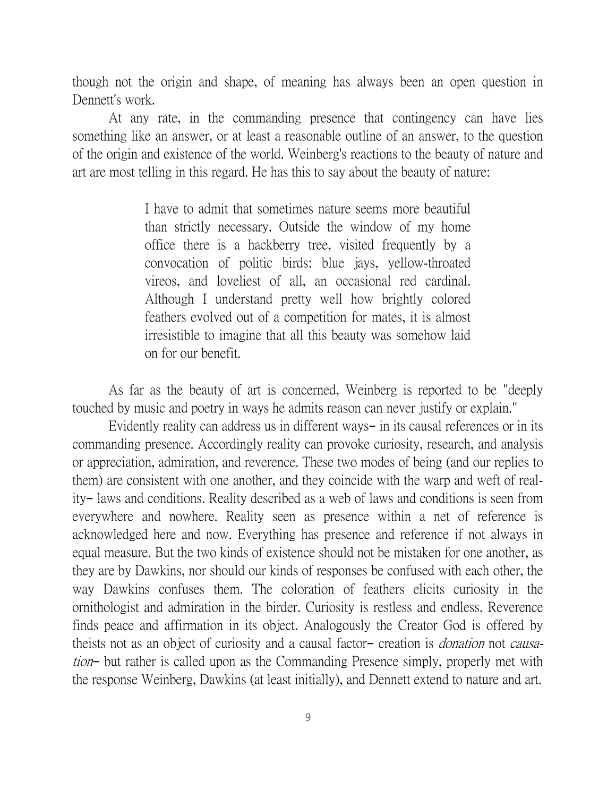though not the origin and shape, of meaning has always been an open question in Dennett's work.

At any rate, in the commanding presence that contingency can have lies something like an answer, or at least a reasonable outline of an answer, to the question of the origin and existence of the world. Weinberg's reactions to the beauty of nature and art are most telling in this regard. He has this to say about the beauty of nature:

> I have to admit that sometimes nature seems more beautiful than strictly necessary. Outside the window of my home office there is a hackberry tree, visited frequently by a convocation of politic birds: blue jays, yellow-throated vireos, and loveliest of all, an occasional red cardinal. Although I understand pretty well how brightly colored feathers evolved out of a competition for mates, it is almost irresistible to imagine that all this beauty was somehow laid on for our benefit.

As far as the beauty of art is concerned, Weinberg is reported to be "deeply touched by music and poetry in ways he admits reason can never justify or explain."

Evidently reality can address us in different ways- in its causal references or in its commanding presence. Accordingly reality can provoke curiosity, research, and analysis or appreciation, admiration, and reverence. These two modes of being (and our replies to them) are consistent with one another, and they coincide with the warp and weft of reality– laws and conditions. Reality described as a web of laws and conditions is seen from everywhere and nowhere. Reality seen as presence within a net of reference is acknowledged here and now. Everything has presence and reference if not always in equal measure. But the two kinds of existence should not be mistaken for one another, as they are by Dawkins, nor should our kinds of responses be confused with each other, the way Dawkins confuses them. The coloration of feathers elicits curiosity in the ornithologist and admiration in the birder. Curiosity is restless and endless. Reverence finds peace and affirmation in its object. Analogously the Creator God is offered by theists not as an object of curiosity and a causal factor-creation is *donation* not *causa*tion- but rather is called upon as the Commanding Presence simply, properly met with the response Weinberg, Dawkins (at least initially), and Dennett extend to nature and art.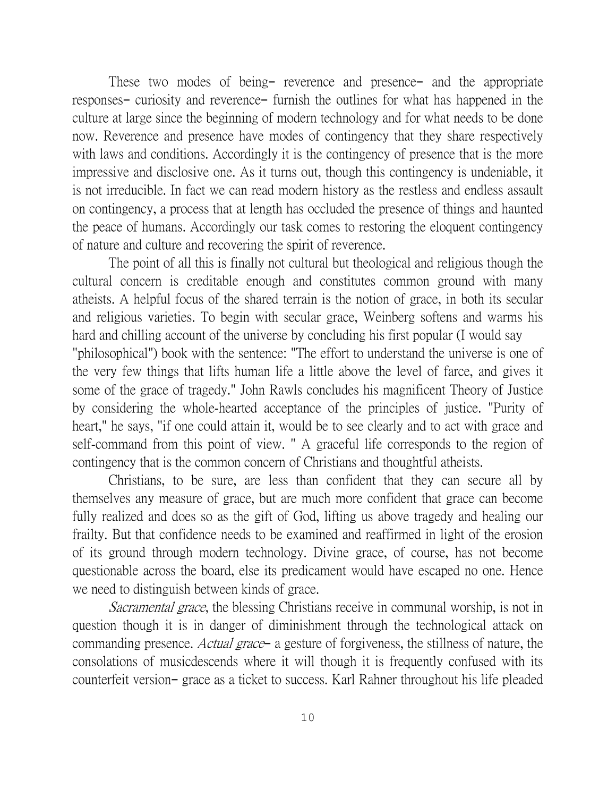These two modes of being- reverence and presence- and the appropriate responses – curiosity and reverence – furnish the outlines for what has happened in the culture at large since the beginning of modern technology and for what needs to be done now. Reverence and presence have modes of contingency that they share respectively with laws and conditions. Accordingly it is the contingency of presence that is the more impressive and disclosive one. As it turns out, though this contingency is undeniable, it is not irreducible. In fact we can read modern history as the restless and endless assault on contingency, a process that at length has occluded the presence of things and haunted the peace of humans. Accordingly our task comes to restoring the eloquent contingency of nature and culture and recovering the spirit of reverence.

The point of all this is finally not cultural but theological and religious though the cultural concern is creditable enough and constitutes common ground with many atheists. A helpful focus of the shared terrain is the notion of grace, in both its secular and religious varieties. To begin with secular grace, Weinberg softens and warms his hard and chilling account of the universe by concluding his first popular (I would say "philosophical") book with the sentence: "The effort to understand the universe is one of the very few things that lifts human life a little above the level of farce, and gives it some of the grace of tragedy." John Rawls concludes his magnificent Theory of Justice by considering the whole-hearted acceptance of the principles of justice. "Purity of heart," he says, "if one could attain it, would be to see clearly and to act with grace and self-command from this point of view. " A graceful life corresponds to the region of contingency that is the common concern of Christians and thoughtful atheists.

Christians, to be sure, are less than confident that they can secure all by themselves any measure of grace, but are much more confident that grace can become fully realized and does so as the gift of God, lifting us above tragedy and healing our frailty. But that confidence needs to be examined and reaffirmed in light of the erosion of its ground through modern technology. Divine grace, of course, has not become questionable across the board, else its predicament would have escaped no one. Hence we need to distinguish between kinds of grace.

Sacramental grace, the blessing Christians receive in communal worship, is not in question though it is in danger of diminishment through the technological attack on commanding presence. Actual grace a gesture of forgiveness, the stillness of nature, the consolations of musicdescends where it will though it is frequently confused with its counterfeit version- grace as a ticket to success. Karl Rahner throughout his life pleaded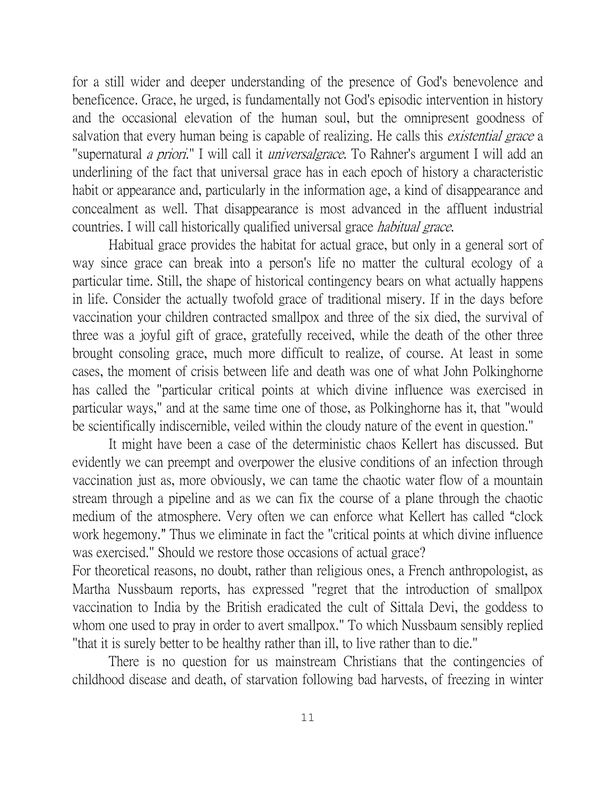for a still wider and deeper understanding of the presence of God's benevolence and beneficence. Grace, he urged, is fundamentally not God's episodic intervention in history and the occasional elevation of the human soul, but the omnipresent goodness of salvation that every human being is capable of realizing. He calls this *existential grace* a "supernatural *a priori*." I will call it *universalgrace*. To Rahner's argument I will add an underlining of the fact that universal grace has in each epoch of history a characteristic habit or appearance and, particularly in the information age, a kind of disappearance and concealment as well. That disappearance is most advanced in the affluent industrial countries. I will call historically qualified universal grace *habitual grace*.

Habitual grace provides the habitat for actual grace, but only in a general sort of way since grace can break into a person's life no matter the cultural ecology of a particular time. Still, the shape of historical contingency bears on what actually happens in life. Consider the actually twofold grace of traditional misery. If in the days before vaccination your children contracted smallpox and three of the six died, the survival of three was a joyful gift of grace, gratefully received, while the death of the other three brought consoling grace, much more difficult to realize, of course. At least in some cases, the moment of crisis between life and death was one of what John Polkinghorne has called the "particular critical points at which divine influence was exercised in particular ways," and at the same time one of those, as Polkinghorne has it, that "would be scientifically indiscernible, veiled within the cloudy nature of the event in question."

It might have been a case of the deterministic chaos Kellert has discussed. But evidently we can preempt and overpower the elusive conditions of an infection through vaccination just as, more obviously, we can tame the chaotic water flow of a mountain stream through a pipeline and as we can fix the course of a plane through the chaotic medium of the atmosphere. Very often we can enforce what Kellert has called "clock work hegemony." Thus we eliminate in fact the "critical points at which divine influence was exercised." Should we restore those occasions of actual grace?

For theoretical reasons, no doubt, rather than religious ones, a French anthropologist, as Martha Nussbaum reports, has expressed "regret that the introduction of smallpox vaccination to India by the British eradicated the cult of Sittala Devi, the goddess to whom one used to pray in order to avert smallpox." To which Nussbaum sensibly replied "that it is surely better to be healthy rather than ill, to live rather than to die."

There is no question for us mainstream Christians that the contingencies of childhood disease and death, of starvation following bad harvests, of freezing in winter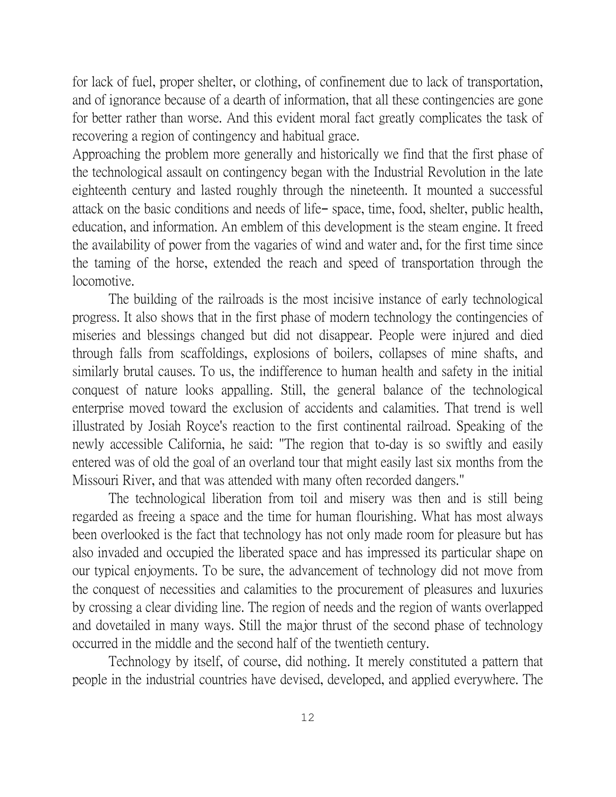for lack of fuel, proper shelter, or clothing, of confinement due to lack of transportation, and of ignorance because of a dearth of information, that all these contingencies are gone for better rather than worse. And this evident moral fact greatly complicates the task of recovering a region of contingency and habitual grace.

Approaching the problem more generally and historically we find that the first phase of the technological assault on contingency began with the Industrial Revolution in the late eighteenth century and lasted roughly through the nineteenth. It mounted a successful attack on the basic conditions and needs of life-space, time, food, shelter, public health, education, and information. An emblem of this development is the steam engine. It freed the availability of power from the vagaries of wind and water and, for the first time since the taming of the horse, extended the reach and speed of transportation through the locomotive.

The building of the railroads is the most incisive instance of early technological progress. It also shows that in the first phase of modern technology the contingencies of miseries and blessings changed but did not disappear. People were injured and died through falls from scaffoldings, explosions of boilers, collapses of mine shafts, and similarly brutal causes. To us, the indifference to human health and safety in the initial conquest of nature looks appalling. Still, the general balance of the technological enterprise moved toward the exclusion of accidents and calamities. That trend is well illustrated by Josiah Royce's reaction to the first continental railroad. Speaking of the newly accessible California, he said: "The region that to-day is so swiftly and easily entered was of old the goal of an overland tour that might easily last six months from the Missouri River, and that was attended with many often recorded dangers."

The technological liberation from toil and misery was then and is still being regarded as freeing a space and the time for human flourishing. What has most always been overlooked is the fact that technology has not only made room for pleasure but has also invaded and occupied the liberated space and has impressed its particular shape on our typical enjoyments. To be sure, the advancement of technology did not move from the conquest of necessities and calamities to the procurement of pleasures and luxuries by crossing a clear dividing line. The region of needs and the region of wants overlapped and dovetailed in many ways. Still the major thrust of the second phase of technology occurred in the middle and the second half of the twentieth century.

Technology by itself, of course, did nothing. It merely constituted a pattern that people in the industrial countries have devised, developed, and applied everywhere. The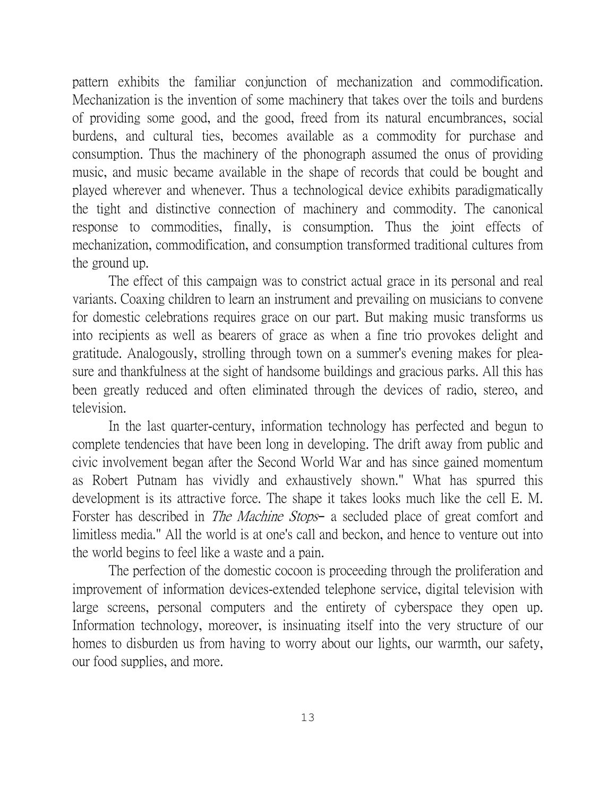pattern exhibits the familiar conjunction of mechanization and commodification. Mechanization is the invention of some machinery that takes over the toils and burdens of providing some good, and the good, freed from its natural encumbrances, social burdens, and cultural ties, becomes available as a commodity for purchase and consumption. Thus the machinery of the phonograph assumed the onus of providing music, and music became available in the shape of records that could be bought and played wherever and whenever. Thus a technological device exhibits paradigmatically the tight and distinctive connection of machinery and commodity. The canonical response to commodities, finally, is consumption. Thus the joint effects of mechanization, commodification, and consumption transformed traditional cultures from the ground up.

The effect of this campaign was to constrict actual grace in its personal and real variants. Coaxing children to learn an instrument and prevailing on musicians to convene for domestic celebrations requires grace on our part. But making music transforms us into recipients as well as bearers of grace as when a fine trio provokes delight and gratitude. Analogously, strolling through town on a summer's evening makes for pleasure and thankfulness at the sight of handsome buildings and gracious parks. All this has been greatly reduced and often eliminated through the devices of radio, stereo, and television.

In the last quarter-century, information technology has perfected and begun to complete tendencies that have been long in developing. The drift away from public and civic involvement began after the Second World War and has since gained momentum as Robert Putnam has vividly and exhaustively shown." What has spurred this development is its attractive force. The shape it takes looks much like the cell E. M. Forster has described in *The Machine Stops*- a secluded place of great comfort and limitless media." All the world is at one's call and beckon, and hence to venture out into the world begins to feel like a waste and a pain.

The perfection of the domestic cocoon is proceeding through the proliferation and improvement of information devices-extended telephone service, digital television with large screens, personal computers and the entirety of cyberspace they open up. Information technology, moreover, is insinuating itself into the very structure of our homes to disburden us from having to worry about our lights, our warmth, our safety, our food supplies, and more.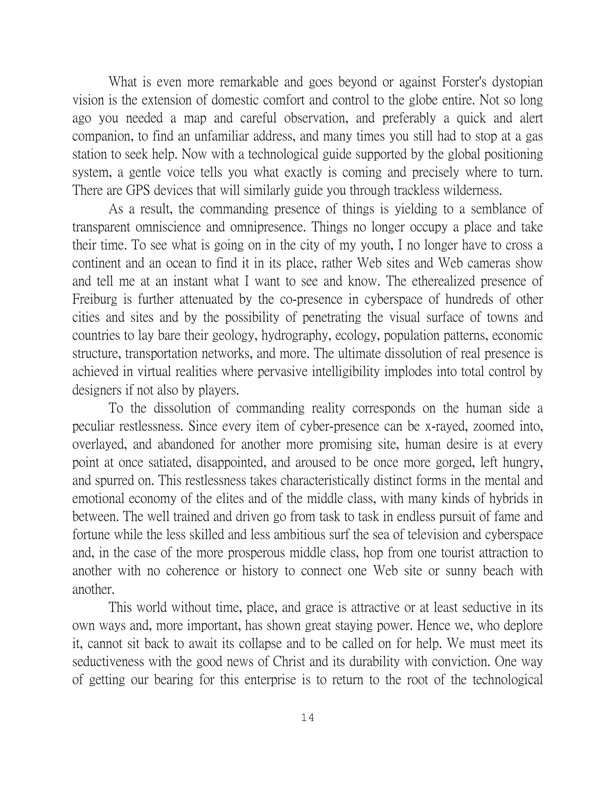What is even more remarkable and goes beyond or against Forster's dystopian vision is the extension of domestic comfort and control to the globe entire. Not so long ago you needed a map and careful observation, and preferably a quick and alert companion, to find an unfamiliar address, and many times you still had to stop at a gas station to seek help. Now with a technological guide supported by the global positioning system, a gentle voice tells you what exactly is coming and precisely where to turn. There are GPS devices that will similarly guide you through trackless wilderness.

As a result, the commanding presence of things is yielding to a semblance of transparent omniscience and omnipresence. Things no longer occupy a place and take their time. To see what is going on in the city of my youth, I no longer have to cross a continent and an ocean to find it in its place, rather Web sites and Web cameras show and tell me at an instant what I want to see and know. The etherealized presence of Freiburg is further attenuated by the co-presence in cyberspace of hundreds of other cities and sites and by the possibility of penetrating the visual surface of towns and countries to lay bare their geology, hydrography, ecology, population patterns, economic structure, transportation networks, and more. The ultimate dissolution of real presence is achieved in virtual realities where pervasive intelligibility implodes into total control by designers if not also by players.

To the dissolution of commanding reality corresponds on the human side a peculiar restlessness. Since every item of cyber-presence can be x-rayed, zoomed into, overlayed, and abandoned for another more promising site, human desire is at every point at once satiated, disappointed, and aroused to be once more gorged, left hungry, and spurred on. This restlessness takes characteristically distinct forms in the mental and emotional economy of the elites and of the middle class, with many kinds of hybrids in between. The well trained and driven go from task to task in endless pursuit of fame and fortune while the less skilled and less ambitious surf the sea of television and cyberspace and, in the case of the more prosperous middle class, hop from one tourist attraction to another with no coherence or history to connect one Web site or sunny beach with another.

This world without time, place, and grace is attractive or at least seductive in its own ways and, more important, has shown great staying power. Hence we, who deplore it, cannot sit back to await its collapse and to be called on for help. We must meet its seductiveness with the good news of Christ and its durability with conviction. One way of getting our bearing for this enterprise is to return to the root of the technological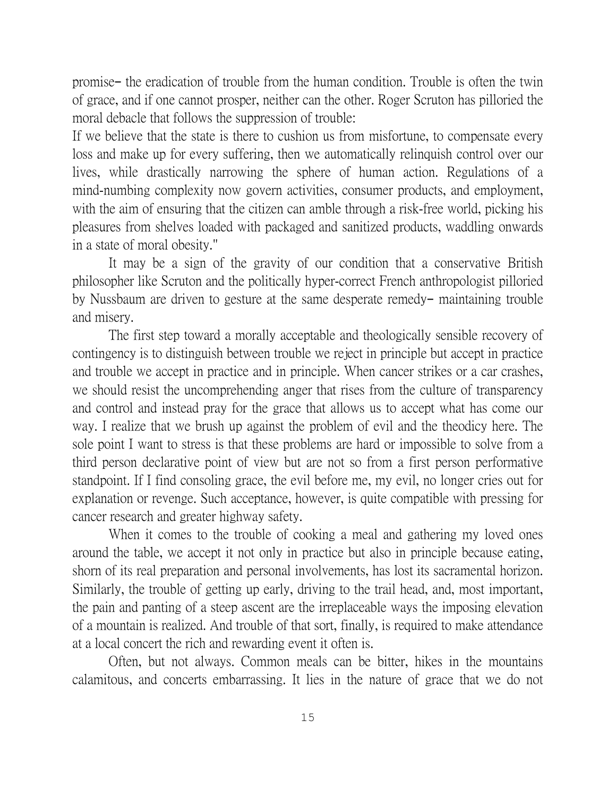promise the eradication of trouble from the human condition. Trouble is often the twin of grace, and if one cannot prosper, neither can the other. Roger Scruton has pilloried the moral debacle that follows the suppression of trouble:

If we believe that the state is there to cushion us from misfortune, to compensate every loss and make up for every suffering, then we automatically relinquish control over our lives, while drastically narrowing the sphere of human action. Regulations of a mind-numbing complexity now govern activities, consumer products, and employment, with the aim of ensuring that the citizen can amble through a risk-free world, picking his pleasures from shelves loaded with packaged and sanitized products, waddling onwards in a state of moral obesity."

It may be a sign of the gravity of our condition that a conservative British philosopher like Scruton and the politically hyper-correct French anthropologist pilloried by Nussbaum are driven to gesture at the same desperate remedy- maintaining trouble and misery.

The first step toward a morally acceptable and theologically sensible recovery of contingency is to distinguish between trouble we reject in principle but accept in practice and trouble we accept in practice and in principle. When cancer strikes or a car crashes, we should resist the uncomprehending anger that rises from the culture of transparency and control and instead pray for the grace that allows us to accept what has come our way. I realize that we brush up against the problem of evil and the theodicy here. The sole point I want to stress is that these problems are hard or impossible to solve from a third person declarative point of view but are not so from a first person performative standpoint. If I find consoling grace, the evil before me, my evil, no longer cries out for explanation or revenge. Such acceptance, however, is quite compatible with pressing for cancer research and greater highway safety.

When it comes to the trouble of cooking a meal and gathering my loved ones around the table, we accept it not only in practice but also in principle because eating, shorn of its real preparation and personal involvements, has lost its sacramental horizon. Similarly, the trouble of getting up early, driving to the trail head, and, most important, the pain and panting of a steep ascent are the irreplaceable ways the imposing elevation of a mountain is realized. And trouble of that sort, finally, is required to make attendance at a local concert the rich and rewarding event it often is.

Often, but not always. Common meals can be bitter, hikes in the mountains calamitous, and concerts embarrassing. It lies in the nature of grace that we do not